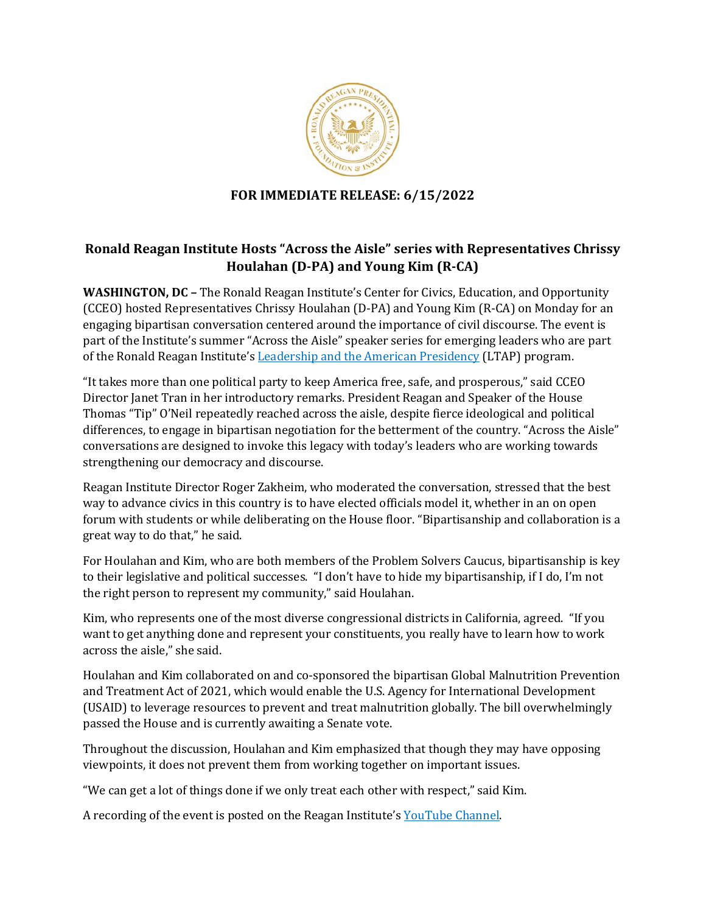

## **FOR IMMEDIATE RELEASE: 6/15/2022**

## **Ronald Reagan Institute Hosts "Across the Aisle" series with Representatives Chrissy Houlahan (D-PA) and Young Kim (R-CA)**

**WASHINGTON, DC –** The Ronald Reagan Institute's Center for Civics, Education, and Opportunity (CCEO) hosted Representatives Chrissy Houlahan (D-PA) and Young Kim (R-CA) on Monday for an engaging bipartisan conversation centered around the importance of civil discourse. The event is part of the Institute's summer "Across the Aisle" speaker series for emerging leaders who are part of the Ronald Reagan Institute's [Leadership and the American Presidency](https://www.reaganfoundation.org/reagan-institute/programs/leadership-and-the-american-presidency/) (LTAP) program.

"It takes more than one political party to keep America free, safe, and prosperous," said CCEO Director Janet Tran in her introductory remarks. President Reagan and Speaker of the House Thomas "Tip" O'Neil repeatedly reached across the aisle, despite fierce ideological and political differences, to engage in bipartisan negotiation for the betterment of the country. "Across the Aisle" conversations are designed to invoke this legacy with today's leaders who are working towards strengthening our democracy and discourse.

Reagan Institute Director Roger Zakheim, who moderated the conversation, stressed that the best way to advance civics in this country is to have elected officials model it, whether in an on open forum with students or while deliberating on the House floor. "Bipartisanship and collaboration is a great way to do that," he said.

For Houlahan and Kim, who are both members of the Problem Solvers Caucus, bipartisanship is key to their legislative and political successes. "I don't have to hide my bipartisanship, if I do, I'm not the right person to represent my community," said Houlahan.

Kim, who represents one of the most diverse congressional districts in California, agreed. "If you want to get anything done and represent your constituents, you really have to learn how to work across the aisle," she said.

Houlahan and Kim collaborated on and co-sponsored the bipartisan Global Malnutrition Prevention and Treatment Act of 2021, which would enable the U.S. Agency for International Development (USAID) to leverage resources to prevent and treat malnutrition globally. The bill overwhelmingly passed the House and is currently awaiting a Senate vote.

Throughout the discussion, Houlahan and Kim emphasized that though they may have opposing viewpoints, it does not prevent them from working together on important issues.

"We can get a lot of things done if we only treat each other with respect," said Kim.

A recording of the event is posted on the Reagan Institute's [YouTube Channel.](https://www.youtube.com/watch?v=xt0xbSkrLtM)